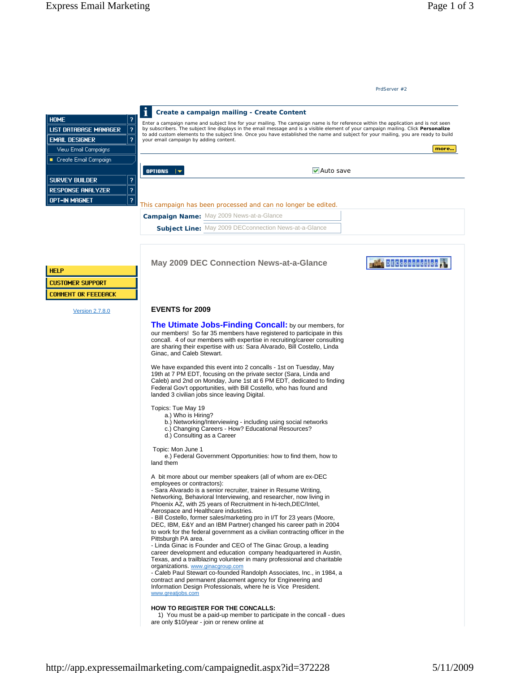## **EVENTS for 2009**

**The Utimate Jobs-Finding Concall:** by our members, for our members! So far 35 members have registered to participate in this concall. 4 of our members with expertise in recruiting/career consulting are sharing their expertise with us: Sara Alvarado, Bill Costello, Linda Ginac, and Caleb Stewart.

We have expanded this event into 2 concalls - 1st on Tuesday, May 19th at 7 PM EDT, focusing on the private sector (Sara, Linda and Caleb) and 2nd on Monday, June 1st at 6 PM EDT, dedicated to finding Federal Gov't opportunities, with Bill Costello, who has found and landed 3 civilian jobs since leaving Digital.

Topics: Tue May 19

- a.) Who is Hiring?
- b.) Networking/Interviewing including using social networks
- c.) Changing Careers How? Educational Resources?
- d.) Consulting as a Career

Topic: Mon June 1

 e.) Federal Government Opportunities: how to find them, how to land them

A bit more about our member speakers (all of whom are ex-DEC employees or contractors):

- Sara Alvarado is a senior recruiter, trainer in Resume Writing, Networking, Behavioral Interviewing, and researcher, now living in Phoenix AZ, with 25 years of Recruitment in hi-tech,DEC/Intel, Aerospace and Healthcare industries.

- Bill Costello, former sales/marketing pro in I/T for 23 years (Moore, DEC, IBM, E&Y and an IBM Partner) changed his career path in 2004 to work for the federal government as a civilian contracting officer in the Pittsburgh PA area.

- Linda Ginac is Founder and CEO of The Ginac Group, a leading career development and education company headquartered in Austin, Texas, and a trailblazing volunteer in many professional and charitable organizations. www.ginacgroup.com

- Caleb Paul Stewart co-founded Randolph Associates, Inc., in 1984, a contract and permanent placement agency for Engineering and Information Design Professionals, where he is Vice President. www.greatjobs.com

## **HOW TO REGISTER FOR THE CONCALLS:**

 1) You must be a paid-up member to participate in the concall - dues are only \$10/year - join or renew online at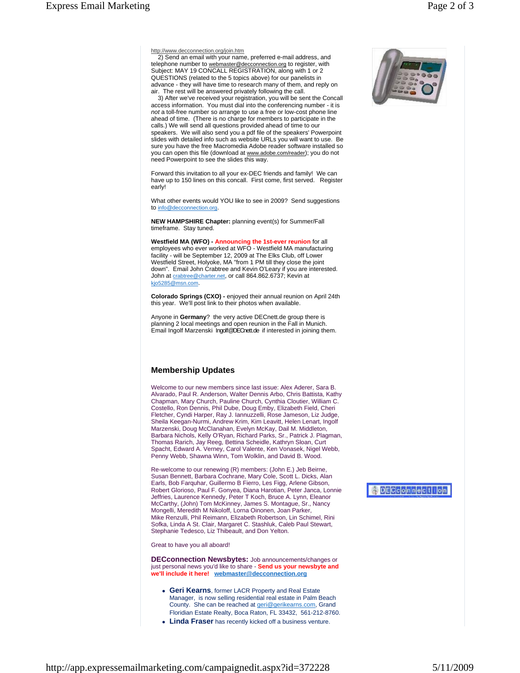http://www.decconnection.org/join.htm

 2) Send an email with your name, preferred e-mail address, and telephone number to webmaster@decconnection.org to register, with Subject: MAY 19 CONCALL REGISTRATION, along with 1 or 2 QUESTIONS (related to the 5 topics above) for our panelists in advance - they will have time to research many of them, and reply on air. The rest will be answered privately following the call.

 3) After we've received your registration, you will be sent the Concall access information. You must dial into the conferencing number - it is *not* a toll-free number so arrange to use a free or low-cost phone line ahead of time. (There is no charge for members to participate in the calls.) We will send all questions provided ahead of time to our speakers. We will also send you a pdf file of the speakers' Powerpoint slides with detailed info such as website URLs you will want to use. Be sure you have the free Macromedia Adobe reader software installed so you can open this file (download at www.adobe.com/reader); you do not need Powerpoint to see the slides this way.

Forward this invitation to all your ex-DEC friends and family! We can have up to 150 lines on this concall. First come, first served. Register early!

What other events would YOU like to see in 2009? Send suggestions to info@decconnection.org.

**NEW HAMPSHIRE Chapter:** planning event(s) for Summer/Fall timeframe. Stay tuned.

**Westfield MA (WFO) - Announcing the 1st-ever reunion** for all employees who ever worked at WFO - Westfield MA manufacturing facility - will be September 12, 2009 at The Elks Club, off Lower Westfield Street, Holyoke, MA "from 1 PM till they close the joint down". Email John Crabtree and Kevin O'Leary if you are interested. John at crabtree@charter.net, or call 864.862.6737; Kevin at kjo5285@msn.com.

**Colorado Springs (CXO) -** enjoyed their annual reunion on April 24th this year. We'll post link to their photos when available.

Anyone in **Germany**? the very active DECnett.de group there is planning 2 local meetings and open reunion in the Fall in Munich. Email Ingolf Marzenski Ingolf@DECnett.de if interested in joining them.

## **Membership Updates**

Welcome to our new members since last issue: Alex Aderer, Sara B. Alvarado, Paul R. Anderson, Walter Dennis Arbo, Chris Battista, Kathy Chapman, Mary Church, Pauline Church, Cynthia Cloutier, William C. Costello, Ron Dennis, Phil Dube, Doug Emby, Elizabeth Field, Cheri Fletcher, Cyndi Harper, Ray J. Iannuzzelli, Rose Jameson, Liz Judge, Sheila Keegan-Nurmi, Andrew Krim, Kim Leavitt, Helen Lenart, Ingolf Marzenski, Doug McClanahan, Evelyn McKay, Dail M. Middleton, Barbara Nichols, Kelly O'Ryan, Richard Parks, Sr., Patrick J. Plagman, Thomas Rarich, Jay Reeg, Bettina Scheidle, Kathryn Sloan, Curt Spacht, Edward A. Verney, Carol Valente, Ken Vonasek, Nigel Webb, Penny Webb, Shawna Winn, Tom Wolklin, and David B. Wood.

Re-welcome to our renewing (R) members: (John E.) Jeb Beirne, Susan Bennett, Barbara Cochrane, Mary Cole, Scott L. Dicks, Alan Earls, Bob Farquhar, Guillermo B Fierro, Les Figg, Arlene Gibson, Robert Glorioso, Paul F. Gonyea, Diana Harotian, Peter Janca, Lonnie Jeffries, Laurence Kennedy, Peter T Koch, Bruce A. Lynn, Eleanor McCarthy, (John) Tom McKinney, James S. Montague, Sr., Nancy Mongelli, Meredith M Nikoloff, Lorna Oinonen, Joan Parker, Mike Renzulli, Phil Reimann, Elizabeth Robertson, Lin Schimel, Rini Sofka, Linda A St. Clair, Margaret C. Stashluk, Caleb Paul Stewart, Stephanie Tedesco, Liz Thibeault, and Don Yelton.

Great to have you all aboard!

**DECconnection Newsbytes:** Job announcements/changes or just personal news you'd like to share - **Send us your newsbyte and we'll include it here! webmaster@decconnection.org**

- **Geri Kearns**, former LACR Property and Real Estate Manager, is now selling residential real estate in Palm Beach County. She can be reached at geri@gerikearns.com, Grand Floridian Estate Realty, Boca Raton, FL 33432, 561-212-8760.
- **Linda Fraser** has recently kicked off a business venture.